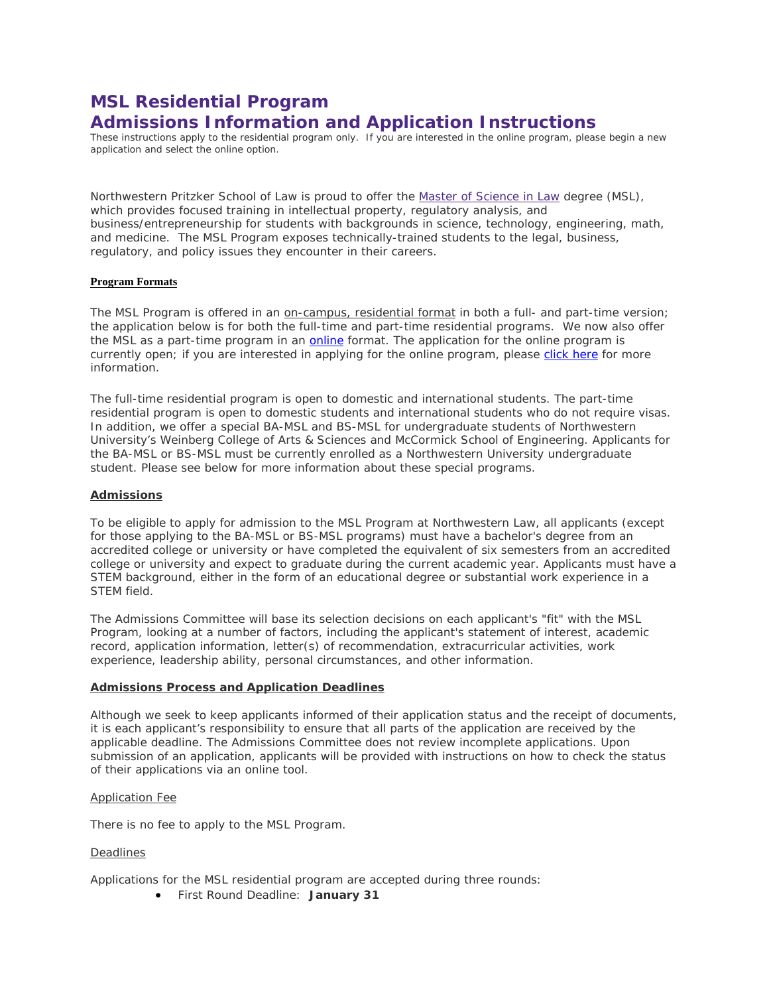# **MSL Residential Program Admissions Information and Application Instructions**

These instructions apply to the residential program only. If you are interested in the online program, please begin a new application and select the online option.

Northwestern Pritzker School of Law is proud to offer the [Master of Science in Law](http://www.law.northwestern.edu/academics/degree-programs/msl/) degree (MSL), which provides focused training in intellectual property, regulatory analysis, and business/entrepreneurship for students with backgrounds in science, technology, engineering, math, and medicine. The MSL Program exposes technically-trained students to the legal, business, regulatory, and policy issues they encounter in their careers.

# **Program Formats**

The MSL Program is offered in an on-campus, residential format in both a full- and part-time version; the application below is for both the full-time and part-time residential programs. We now also offer the MSL as a part-time program in an *online* format. The application for the [online](http://www.law.northwestern.edu/academics/degree-programs/msl/program/online/) program is currently open; if you are interested in applying for the online program, please [click here](http://www.law.northwestern.edu/academics/degree-programs/msl/program/online/) for more information.

The full-time residential program is open to domestic and international students. The part-time residential program is open to domestic students and international students who do not require visas. In addition, we offer a special BA-MSL and BS-MSL for undergraduate students of Northwestern University's Weinberg College of Arts & Sciences and McCormick School of Engineering. Applicants for the BA-MSL or BS-MSL must be currently enrolled as a Northwestern University undergraduate student. Please see below for more information about these special programs.

# **Admissions**

To be eligible to apply for admission to the MSL Program at Northwestern Law, all applicants (except for those applying to the BA-MSL or BS-MSL programs) must have a bachelor's degree from an accredited college or university or have completed the equivalent of six semesters from an accredited college or university and expect to graduate during the current academic year. Applicants must have a STEM background, either in the form of an educational degree or substantial work experience in a STEM field.

The Admissions Committee will base its selection decisions on each applicant's "fit" with the MSL Program, looking at a number of factors, including the applicant's statement of interest, academic record, application information, letter(s) of recommendation, extracurricular activities, work experience, leadership ability, personal circumstances, and other information.

# **Admissions Process and Application Deadlines**

Although we seek to keep applicants informed of their application status and the receipt of documents, it is each applicant's responsibility to ensure that all parts of the application are received by the applicable deadline. The Admissions Committee does not review incomplete applications. Upon submission of an application, applicants will be provided with instructions on how to check the status of their applications via an online tool.

# Application Fee

There is no fee to apply to the MSL Program.

# Deadlines

Applications for the MSL residential program are accepted during three rounds:

• First Round Deadline: **January 31**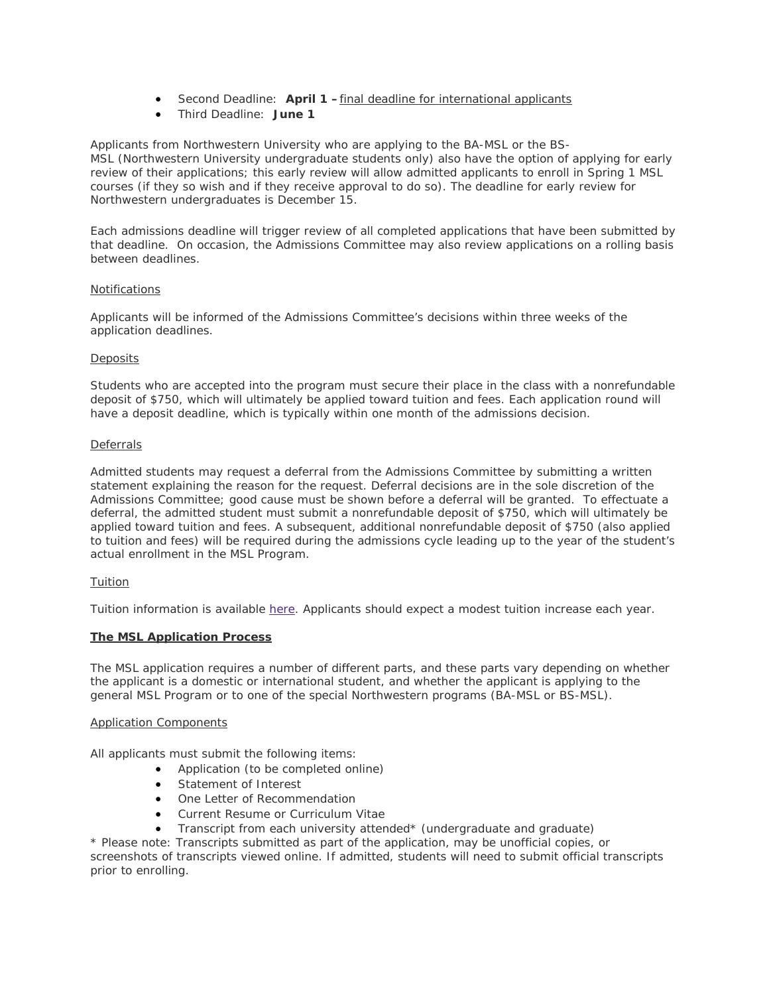- Second Deadline: **April 1 –**final deadline for international applicants
- Third Deadline: **June 1**

Applicants from Northwestern University who are applying to the BA-MSL or the BS-MSL (Northwestern University undergraduate students only) also have the option of applying for early review of their applications; this early review will allow admitted applicants to enroll in Spring 1 MSL courses (if they so wish and if they receive approval to do so). The deadline for early review for Northwestern undergraduates is December 15.

Each admissions deadline will trigger review of all completed applications that have been submitted by that deadline. On occasion, the Admissions Committee may also review applications on a rolling basis between deadlines.

# **Notifications**

Applicants will be informed of the Admissions Committee's decisions within three weeks of the application deadlines.

# **Deposits**

Students who are accepted into the program must secure their place in the class with a nonrefundable deposit of \$750, which will ultimately be applied toward tuition and fees. Each application round will have a deposit deadline, which is typically within one month of the admissions decision.

# Deferrals

Admitted students may request a deferral from the Admissions Committee by submitting a written statement explaining the reason for the request. Deferral decisions are in the sole discretion of the Admissions Committee; good cause must be shown before a deferral will be granted. To effectuate a deferral, the admitted student must submit a nonrefundable deposit of \$750, which will ultimately be applied toward tuition and fees. A subsequent, additional nonrefundable deposit of \$750 (also applied to tuition and fees) will be required during the admissions cycle leading up to the year of the student's actual enrollment in the MSL Program.

# **Tuition**

Tuition information is available [here.](http://www.law.northwestern.edu/admissions/tuitionaid/tuition/) Applicants should expect a modest tuition increase each year.

# **The MSL Application Process**

The MSL application requires a number of different parts, and these parts vary depending on whether the applicant is a domestic or international student, and whether the applicant is applying to the general MSL Program or to one of the special Northwestern programs (BA-MSL or BS-MSL).

# Application Components

All applicants must submit the following items:

- Application (to be completed online)
- Statement of Interest
- One Letter of Recommendation
- Current Resume or Curriculum Vitae
- Transcript from each university attended\* (undergraduate and graduate)

*\* Please note: Transcripts submitted as part of the application, may be unofficial copies, or screenshots of transcripts viewed online. If admitted, students will need to submit official transcripts prior to enrolling.*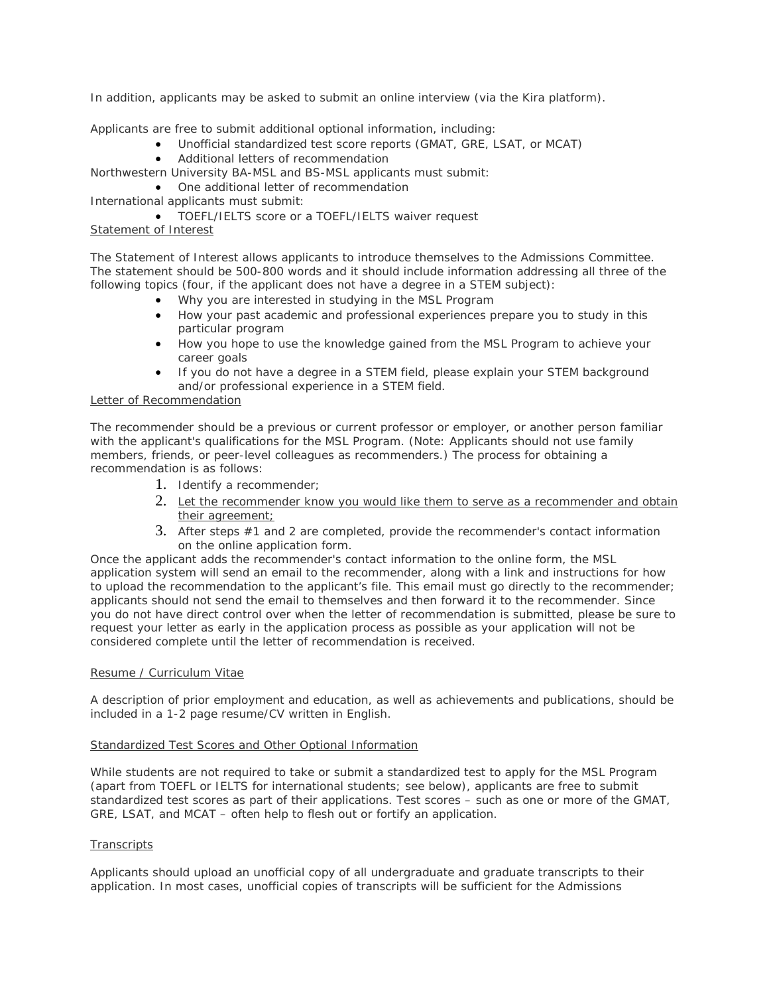In addition, applicants may be asked to submit an online interview (via the Kira platform).

Applicants are free to submit additional optional information, including:

- Unofficial standardized test score reports (GMAT, GRE, LSAT, or MCAT)
- Additional letters of recommendation

Northwestern University BA-MSL and BS-MSL applicants must submit:

- One additional letter of recommendation
- International applicants must submit:

• TOEFL/IELTS score or a TOEFL/IELTS waiver request

# Statement of Interest

The Statement of Interest allows applicants to introduce themselves to the Admissions Committee. The statement should be 500-800 words and it should include information addressing all three of the following topics (four, if the applicant does not have a degree in a STEM subject):

- *Why you are interested in studying in the MSL Program*
- *How your past academic and professional experiences prepare you to study in this particular program*
- *How you hope to use the knowledge gained from the MSL Program to achieve your career goals*
- *If you do not have a degree in a STEM field, please explain your STEM background and/or professional experience in a STEM field.*

# Letter of Recommendation

The recommender should be a previous or current professor or employer, or another person familiar with the applicant's qualifications for the MSL Program. (Note: Applicants should not use family members, friends, or peer-level colleagues as recommenders.) The process for obtaining a recommendation is as follows:

- 1. Identify a recommender;
- 2. Let the recommender know you would like them to serve as a recommender and obtain their agreement;
- 3. After steps #1 and 2 are completed, provide the recommender's contact information on the online application form.

Once the applicant adds the recommender's contact information to the online form, the MSL application system will send an email to the recommender, along with a link and instructions for how to upload the recommendation to the applicant's file. This email must go directly to the recommender; applicants should not send the email to themselves and then forward it to the recommender. Since you do not have direct control over when the letter of recommendation is submitted, please be sure to request your letter as early in the application process as possible as your application will not be considered complete until the letter of recommendation is received.

# Resume / Curriculum Vitae

A description of prior employment and education, as well as achievements and publications, should be included in a 1-2 page resume/CV written in English.

# Standardized Test Scores and Other Optional Information

While students are not required to take or submit a standardized test to apply for the MSL Program (apart from TOEFL or IELTS for international students; see below), applicants are free to submit standardized test scores as part of their applications. Test scores – such as one or more of the GMAT, GRE, LSAT, and MCAT – often help to flesh out or fortify an application.

# **Transcripts**

Applicants should upload an unofficial copy of all undergraduate and graduate transcripts to their application. In most cases, unofficial copies of transcripts will be sufficient for the Admissions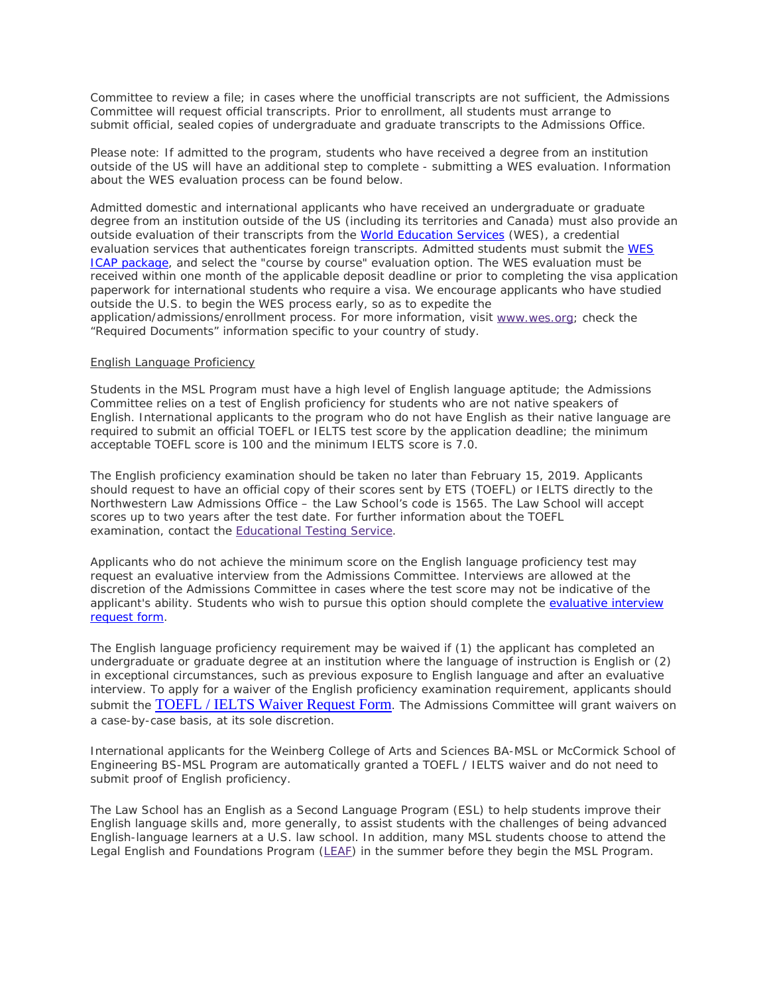Committee to review a file; in cases where the unofficial transcripts are not sufficient, the Admissions Committee will request official transcripts. Prior to enrollment, all students must arrange to submit official, sealed copies of undergraduate and graduate transcripts to the Admissions Office.

Please note: If admitted to the program, students who have received a degree from an institution outside of the US will have an additional step to complete - submitting a WES evaluation. Information about the WES evaluation process can be found below.

Admitted domestic and international applicants who have received an undergraduate or graduate degree from an institution outside of the US (including its territories and Canada) must also provide an outside evaluation of their transcripts from the [World Education Services](https://urldefense.proofpoint.com/v2/url?u=http-3A__www.wes.org_&d=DwMFaQ&c=yHlS04HhBraes5BQ9ueu5zKhE7rtNXt_d012z2PA6ws&r=mHp2LQaSDiTNZpIPXlrfQebaKw5JtjYh1Lkrn8z-VALiQMptthp5Y-IIESQKkKiL&m=PTZYa1tMkWS-2v7FKVJVFOgx_hHhVVMbIB92L7Nst4E&s=LdsMps6k85Egr4L3BMh3OZVsZMu3NWcypoj84jTxv04&e=) (WES), a credential evaluation services that authenticates foreign transcripts. Admitted students must submit the [WES](https://urldefense.proofpoint.com/v2/url?u=http-3A__www.wes.org_fees_icap.asp&d=DwMFaQ&c=yHlS04HhBraes5BQ9ueu5zKhE7rtNXt_d012z2PA6ws&r=mHp2LQaSDiTNZpIPXlrfQebaKw5JtjYh1Lkrn8z-VALiQMptthp5Y-IIESQKkKiL&m=PTZYa1tMkWS-2v7FKVJVFOgx_hHhVVMbIB92L7Nst4E&s=lKdBUC47gSqqeaGQYuiEFr9yCMeZSZUuHk-od7O2qec&e=)  [ICAP package,](https://urldefense.proofpoint.com/v2/url?u=http-3A__www.wes.org_fees_icap.asp&d=DwMFaQ&c=yHlS04HhBraes5BQ9ueu5zKhE7rtNXt_d012z2PA6ws&r=mHp2LQaSDiTNZpIPXlrfQebaKw5JtjYh1Lkrn8z-VALiQMptthp5Y-IIESQKkKiL&m=PTZYa1tMkWS-2v7FKVJVFOgx_hHhVVMbIB92L7Nst4E&s=lKdBUC47gSqqeaGQYuiEFr9yCMeZSZUuHk-od7O2qec&e=) and select the "course by course" evaluation option. The WES evaluation must be received within one month of the applicable deposit deadline or prior to completing the visa application paperwork for international students who require a visa. We encourage applicants who have studied outside the U.S. to begin the WES process early, so as to expedite the application/admissions/enrollment process. For more information, visit [www.wes.org;](http://wes.org/) check the "Required Documents" information specific to your country of study.

# English Language Proficiency

Students in the MSL Program must have a high level of English language aptitude; the Admissions Committee relies on a test of English proficiency for students who are not native speakers of English. International applicants to the program who do not have English as their native language are required to submit an official TOEFL or IELTS test score by the application deadline; the minimum acceptable TOEFL score is 100 and the minimum IELTS score is 7.0.

The English proficiency examination should be taken no later than February 15, 2019. Applicants should request to have an official copy of their scores sent by ETS (TOEFL) or IELTS directly to the Northwestern Law Admissions Office – the Law School's code is 1565. The Law School will accept scores up to two years after the test date. For further information about the TOEFL examination, contact the [Educational Testing Service.](https://www.ets.org/toefl/contact/region1)

Applicants who do not achieve the minimum score on the English language proficiency test may request an evaluative interview from the Admissions Committee. Interviews are allowed at the discretion of the Admissions Committee in cases where the test score may not be indicative of the applicant's ability. Students who wish to pursue this option should complete the [evaluative interview](https://apply.law.northwestern.edu/register/?id=38db32ab-512c-4ae2-b884-6531db1e34a0)  [request form.](https://apply.law.northwestern.edu/register/?id=38db32ab-512c-4ae2-b884-6531db1e34a0)

The English language proficiency requirement may be waived if (1) the applicant has completed an undergraduate or graduate degree at an institution where the language of instruction is English or (2) in exceptional circumstances, such as previous exposure to English language and after an evaluative interview. To apply for a waiver of the English proficiency examination requirement, applicants should submit the [TOEFL / IELTS Waiver Request Form](https://apply.law.northwestern.edu/register/MSLlanguagewaiver). The Admissions Committee will grant waivers on a case-by-case basis, at its sole discretion.

International applicants for the Weinberg College of Arts and Sciences BA-MSL or McCormick School of Engineering BS-MSL Program are automatically granted a TOEFL / IELTS waiver and do not need to submit proof of English proficiency.

The Law School has an English as a Second Language Program (ESL) to help students improve their English language skills and, more generally, to assist students with the challenges of being advanced English-language learners at a U.S. law school. In addition, many MSL students choose to attend the Legal English and Foundations Program [\(LEAF\)](http://www.law.northwestern.edu/law-school-life/studentservices/intlprograms/legalenglish/) in the summer before they begin the MSL Program.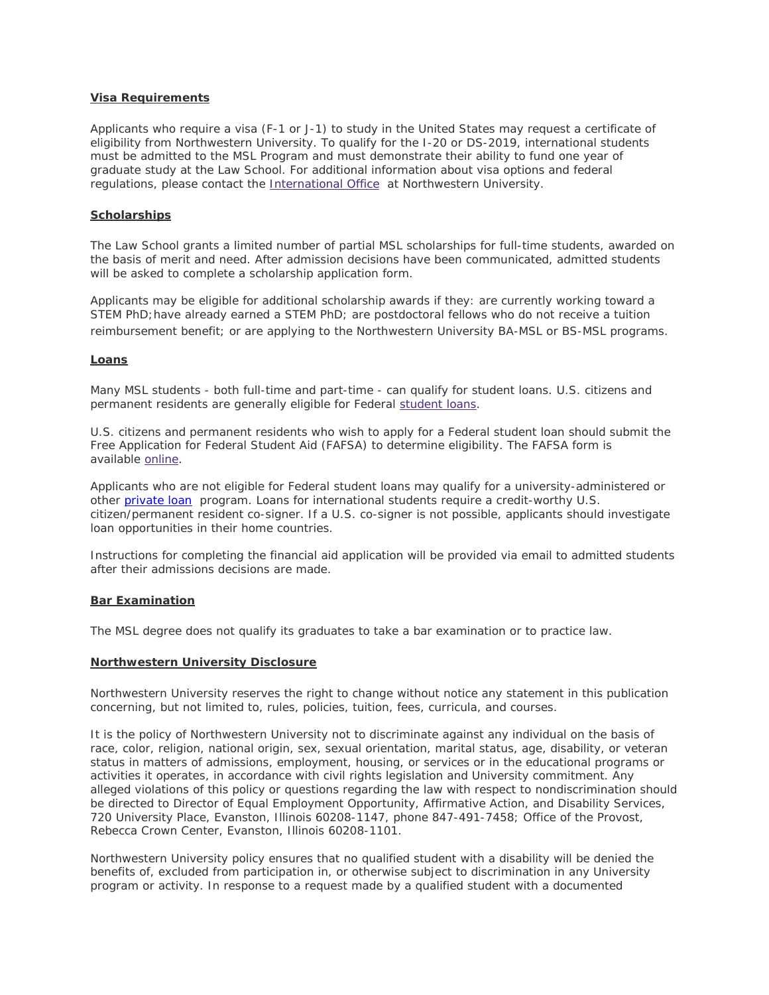# **Visa Requirements**

Applicants who require a visa (F-1 or J-1) to study in the United States may request a certificate of eligibility from Northwestern University. To qualify for the I-20 or DS-2019, international students must be admitted to the MSL Program and must demonstrate their ability to fund one year of graduate study at the Law School. For additional information about visa options and federal regulations, please contact the [International Office](http://www.northwestern.edu/international/) at Northwestern University.

# **Scholarships**

The Law School grants a limited number of partial MSL scholarships for full-time students, awarded on the basis of merit and need. After admission decisions have been communicated, admitted students will be asked to complete a scholarship application form.

Applicants may be eligible for additional scholarship awards if they: are currently working toward a STEM PhD; have already earned a STEM PhD; are postdoctoral fellows who do not receive a tuition reimbursement benefit; or are applying to the Northwestern University BA-MSL or BS-MSL programs.

# **Loans**

Many MSL students - both full-time and part-time - can qualify for student loans. U.S. citizens and permanent residents are generally eligible for Federal [student loans.](http://www.law.northwestern.edu/admissions/tuitionaid/aid/)

U.S. citizens and permanent residents who wish to apply for a Federal student loan should submit the Free Application for Federal Student Aid (FAFSA) to determine eligibility. The FAFSA form is available [online.](http://www.fafsa.ed.gov/)

Applicants who are not eligible for Federal student loans may qualify for a university-administered or other [private loan](http://www.northwestern.edu/sfs/loan_instruc_info/private_loans.html) program. Loans for international students require a credit-worthy U.S. citizen/permanent resident co-signer. If a U.S. co-signer is not possible, applicants should investigate loan opportunities in their home countries.

Instructions for completing the financial aid application will be provided via email to admitted students after their admissions decisions are made.

# **Bar Examination**

The MSL degree does not qualify its graduates to take a bar examination or to practice law.

# **Northwestern University Disclosure**

Northwestern University reserves the right to change without notice any statement in this publication concerning, but not limited to, rules, policies, tuition, fees, curricula, and courses.

It is the policy of Northwestern University not to discriminate against any individual on the basis of race, color, religion, national origin, sex, sexual orientation, marital status, age, disability, or veteran status in matters of admissions, employment, housing, or services or in the educational programs or activities it operates, in accordance with civil rights legislation and University commitment. Any alleged violations of this policy or questions regarding the law with respect to nondiscrimination should be directed to Director of Equal Employment Opportunity, Affirmative Action, and Disability Services, 720 University Place, Evanston, Illinois 60208-1147, phone 847-491-7458; Office of the Provost, Rebecca Crown Center, Evanston, Illinois 60208-1101.

Northwestern University policy ensures that no qualified student with a disability will be denied the benefits of, excluded from participation in, or otherwise subject to discrimination in any University program or activity. In response to a request made by a qualified student with a documented